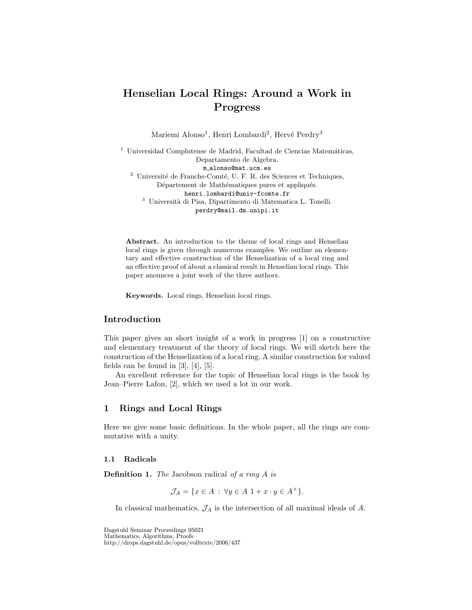# Henselian Local Rings: Around a Work in Progress

Mariemi Alonso<sup>1</sup>, Henri Lombardi<sup>2</sup>, Hervé Perdry<sup>3</sup>

 $^{\rm 1}$ Universidad Complutense de Madrid, Facultad de Ciencias Matemáticas, Departamento de Algebra. m alonso@mat.ucm.es  $^2$ Université de Franche-Comté, U. F. R. des Sciences et Techniques, Département de Mathématiques pures et appliqués. henri.lombardi@univ-fcomte.fr  $^3\,$ Università di Pisa, Dipartimento di Matematica L. Tonelli. perdry@mail.dm.unipi.it

Abstract. An introduction to the theme of local rings and Henselian local rings is given through numerous examples. We outline an elementary and effective construction of the Henselization of a local ring and an effective proof of about a classical result in Henselian local rings. This paper anounces a joint work of the three authors.

Keywords. Local rings, Henselian local rings.

# Introduction

This paper gives an short insight of a work in progress [1] on a constructive and elementary treatment of the theory of local rings. We will sketch here the construction of the Henselization of a local ring. A similar construction for valued fields can be found in  $[3]$ ,  $[4]$ ,  $[5]$ .

An excellent reference for the topic of Henselian local rings is the book by Jean–Pierre Lafon, [2], which we used a lot in our work.

## 1 Rings and Local Rings

Here we give some basic definitions. In the whole paper, all the rings are commutative with a unity.

#### 1.1 Radicals

**Definition 1.** The Jacobson radical of a ring  $A$  is

 $\mathcal{J}_A = \{x \in A : \forall y \in A \; 1 + x \cdot y \in A^\times\}.$ 

In classical mathematics,  $\mathcal{J}_A$  is the intersection of all maximal ideals of  $A$ .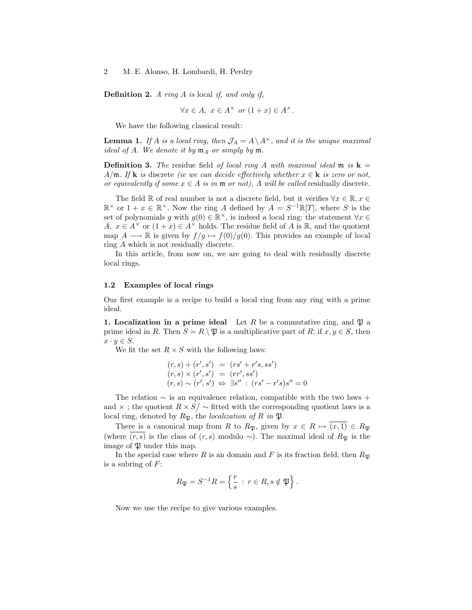**Definition 2.** A ring A is local if, and only if,

$$
\forall x \in A, \ x \in A^{\times} \text{ or } (1+x) \in A^{\times}.
$$

We have the following classical result:

**Lemma 1.** If A is a local ring, then  $\mathcal{J}_A = A \setminus A^{\times}$ , and it is the unique maximal ideal of A. We denote it by  $\mathfrak{m}_A$  or simply by  $\mathfrak{m}$ .

**Definition 3.** The residue field of local ring A with maximal ideal  $\mathfrak{m}$  is  $\mathbf{k} =$ A/m. If **k** is discrete (ie we can decide effectively whether  $x \in \mathbf{k}$  is zero or not, or equivalently if some  $x \in A$  is in  $\mathfrak{m}$  or not). A will be called residually discrete.

The field R of real number is not a discrete field, but it verifies  $\forall x \in \mathbb{R}, x \in$  $\mathbb{R}^{\times}$  or  $1+x \in \mathbb{R}^{\times}$ . Now the ring A defined by  $A = S^{-1}\mathbb{R}[T]$ , where S is the set of polynomials g with  $g(0) \in \mathbb{R}^{\times}$ , is indeed a local ring: the statement  $\forall x \in$ A,  $x \in A^{\times}$  or  $(1+x) \in A^{\times}$  holds. The residue field of A is R, and the quotient map  $A \longrightarrow \mathbb{R}$  is given by  $f/g \mapsto f(0)/g(0)$ . This provides an example of local ring A which is not residually discrete.

In this article, from now on, we are going to deal with residually discrete local rings.

#### 1.2 Examples of local rings

Our first example is a recipe to build a local ring from any ring with a prime ideal.

1. Localization in a prime ideal Let R be a commutative ring, and  $\mathfrak{P}$  a prime ideal in R. Then  $S = R \setminus \mathfrak{B}$  is a multiplicative part of R: if  $x, y \in S$ , then  $x \cdot y \in S$ .

We fit the set  $R \times S$  with the following laws:

$$
(r, s) + (r', s') = (rs' + r's, ss')
$$
  
\n
$$
(r, s) \times (r', s') = (rr', ss')
$$
  
\n
$$
(r, s) \sim (r', s') \Leftrightarrow \exists s'' : (rs' - r's)s'' = 0
$$

The relation  $\sim$  is an equivalence relation, compatible with the two laws + and  $\times$ ; the quotient  $R \times S / \sim$  fitted with the corresponding quotient laws is a local ring, denoted by  $R_{\mathfrak{P}}$ , the *localization of R in*  $\mathfrak{P}$ .

There is a canonical map from R to  $R_{\mathfrak{P}}$ , given by  $x \in R \mapsto (x, 1) \in R_{\mathfrak{P}}$ (where  $(r, s)$  is the class of  $(r, s)$  modulo ∼). The maximal ideal of  $R_{\mathfrak{B}}$  is the image of  $\mathfrak P$  under this map.

In the special case where R is an domain and F is its fraction field, then  $R_{\mathfrak{B}}$ is a subring of  $F$ :

$$
R_{\mathfrak{P}} = S^{-1}R = \left\{ \frac{r}{s} \; : \; r \in R, s \notin \mathfrak{P} \right\}.
$$

Now we use the recipe to give various examples.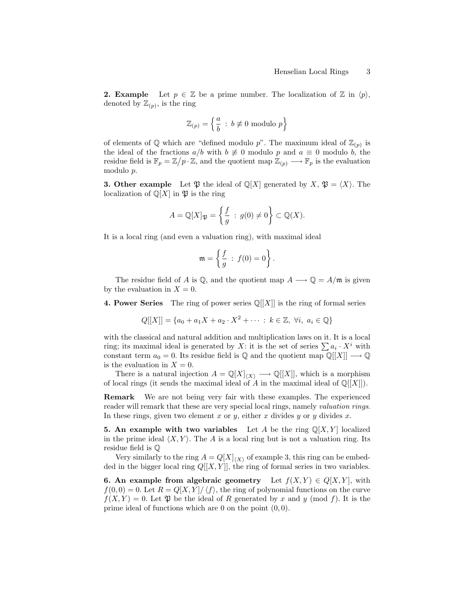**2. Example** Let  $p \in \mathbb{Z}$  be a prime number. The localization of  $\mathbb{Z}$  in  $\langle p \rangle$ , denoted by  $\mathbb{Z}_{(p)}$ , is the ring

$$
\mathbb{Z}_{(p)} = \left\{ \frac{a}{b} \, : \, b \not\equiv 0 \text{ modulo } p \right\}
$$

of elements of  $\mathbb Q$  which are "defined modulo p". The maximum ideal of  $\mathbb Z_{(p)}$  is the ideal of the fractions  $a/b$  with  $b \neq 0$  modulo p and  $a \equiv 0$  modulo b, the residue field is  $\mathbb{F}_p = \mathbb{Z}/p \cdot \mathbb{Z}$ , and the quotient map  $\mathbb{Z}_{(p)} \longrightarrow \mathbb{F}_p$  is the evaluation modulo p.

**3. Other example** Let  $\mathfrak{P}$  the ideal of  $\mathbb{Q}[X]$  generated by  $X, \mathfrak{P} = \langle X \rangle$ . The localization of  $\mathbb{Q}[X]$  in  $\mathfrak{P}$  is the ring

$$
A = \mathbb{Q}[X]_{\mathfrak{P}} = \left\{ \frac{f}{g} : g(0) \neq 0 \right\} \subset \mathbb{Q}(X).
$$

It is a local ring (and even a valuation ring), with maximal ideal

$$
\mathfrak{m} = \left\{ \frac{f}{g} : f(0) = 0 \right\}.
$$

The residue field of A is Q, and the quotient map  $A \longrightarrow Q = A/m$  is given by the evaluation in  $X = 0$ .

**4. Power Series** The ring of power series  $\mathbb{Q}[[X]]$  is the ring of formal series

$$
Q[[X]] = \{a_0 + a_1X + a_2 \cdot X^2 + \cdots : k \in \mathbb{Z}, \ \forall i, \ a_i \in \mathbb{Q}\}\
$$

with the classical and natural addition and multiplication laws on it. It is a local ring; its maximal ideal is generated by X: it is the set of series  $\sum a_i \cdot X^i$  with constant term  $a_0 = 0$ . Its residue field is Q and the quotient map  $\mathbb{Q}[[X]] \longrightarrow \mathbb{Q}$ is the evaluation in  $X = 0$ .

There is a natural injection  $A = \mathbb{Q}[X]_{\langle X \rangle} \longrightarrow \mathbb{Q}[[X]]$ , which is a morphism of local rings (it sends the maximal ideal of A in the maximal ideal of  $\mathbb{Q}[[X]]$ ).

Remark We are not being very fair with these examples. The experienced reader will remark that these are very special local rings, namely *valuation rings*. In these rings, given two element x or y, either x divides y or y divides x.

**5.** An example with two variables Let A be the ring  $\mathbb{Q}[X, Y]$  localized in the prime ideal  $\langle X, Y \rangle$ . The A is a local ring but is not a valuation ring. Its residue field is Q

Very similarly to the ring  $A = Q[X]_{\langle X \rangle}$  of example 3, this ring can be embedded in the bigger local ring  $Q[[X, Y]]$ , the ring of formal series in two variables.

**6.** An example from algebraic geometry Let  $f(X, Y) \in Q[X, Y]$ , with  $f(0,0) = 0$ . Let  $R = Q[X, Y]/\langle f \rangle$ , the ring of polynomial functions on the curve  $f(X, Y) = 0$ . Let  $\mathfrak P$  be the ideal of R generated by x and y (mod f). It is the prime ideal of functions which are 0 on the point  $(0, 0)$ .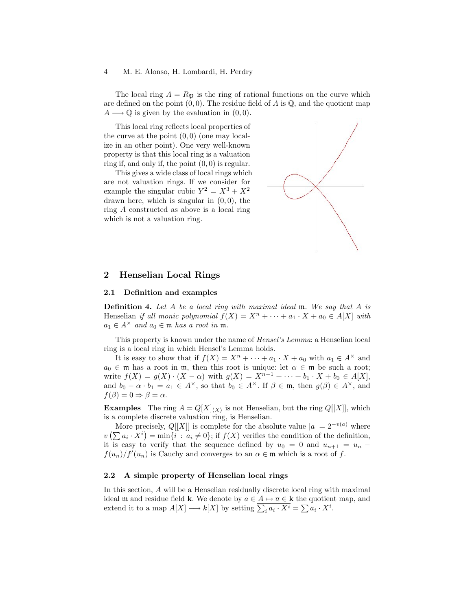#### 4 M. E. Alonso, H. Lombardi, H. Perdry

The local ring  $A = R_{\mathfrak{P}}$  is the ring of rational functions on the curve which are defined on the point  $(0, 0)$ . The residue field of A is  $\mathbb{Q}$ , and the quotient map  $A \longrightarrow \mathbb{Q}$  is given by the evaluation in  $(0, 0)$ .

This local ring reflects local properties of the curve at the point  $(0, 0)$  (one may localize in an other point). One very well-known property is that this local ring is a valuation ring if, and only if, the point  $(0, 0)$  is regular.

This gives a wide class of local rings which are not valuation rings. If we consider for example the singular cubic  $Y^2 = X^3 + X^2$ drawn here, which is singular in (0, 0), the ring A constructed as above is a local ring which is not a valuation ring.



## 2 Henselian Local Rings

#### 2.1 Definition and examples

**Definition 4.** Let A be a local ring with maximal ideal  $\mathfrak{m}$ . We say that A is Henselian if all monic polynomial  $f(X) = X^n + \cdots + a_1 \cdot X + a_0 \in A[X]$  with  $a_1 \in A^{\times}$  and  $a_0 \in \mathfrak{m}$  has a root in  $\mathfrak{m}$ .

This property is known under the name of Hensel's Lemma: a Henselian local ring is a local ring in which Hensel's Lemma holds.

It is easy to show that if  $f(X) = X^n + \cdots + a_1 \cdot X + a_0$  with  $a_1 \in A^\times$  and  $a_0 \in \mathfrak{m}$  has a root in  $\mathfrak{m}$ , then this root is unique: let  $\alpha \in \mathfrak{m}$  be such a root; write  $f(X) = g(X) \cdot (X - \alpha)$  with  $g(X) = X^{n-1} + \cdots + b_1 \cdot X + b_0 \in A[X],$ and  $b_0 - \alpha \cdot b_1 = a_1 \in A^{\times}$ , so that  $b_0 \in A^{\times}$ . If  $\beta \in \mathfrak{m}$ , then  $g(\beta) \in A^{\times}$ , and  $f(\beta) = 0 \Rightarrow \beta = \alpha.$ 

**Examples** The ring  $A = Q[X]_{\langle X \rangle}$  is not Henselian, but the ring  $Q[[X]]$ , which is a complete discrete valuation ring, is Henselian.

More precisely,  $Q[[X]]$  is complete for the absolute value  $|a| = 2^{-v(a)}$  where  $v\left(\sum a_i \cdot X^i\right) = \min\{i : a_i \neq 0\};$  if  $f(X)$  verifies the condition of the definition, it is easy to verify that the sequence defined by  $u_0 = 0$  and  $u_{n+1} = u_n$  $f(u_n)/f'(u_n)$  is Cauchy and converges to an  $\alpha \in \mathfrak{m}$  which is a root of f.

### 2.2 A simple property of Henselian local rings

In this section, A will be a Henselian residually discrete local ring with maximal ideal m and residue field k. We denote by  $a \in A \mapsto \overline{a} \in \mathbf{k}$  the quotient map, and extend it to a map  $A[X] \longrightarrow k[X]$  by setting  $\overline{\sum_i a_i \cdot X^i} = \sum \overline{a_i} \cdot X^i$ .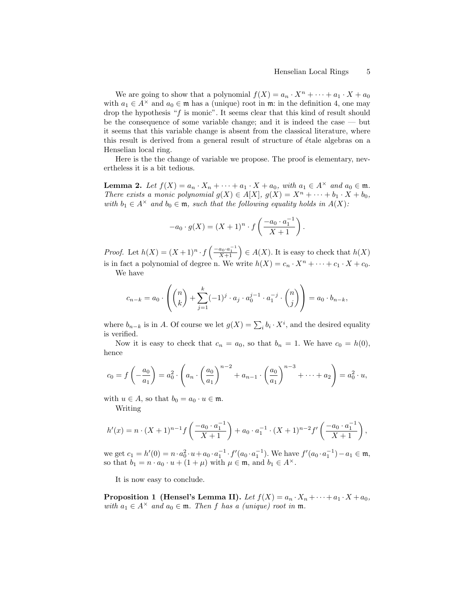.

We are going to show that a polynomial  $f(X) = a_n \cdot X^n + \cdots + a_1 \cdot X + a_0$ with  $a_1 \in A^{\times}$  and  $a_0 \in \mathfrak{m}$  has a (unique) root in  $\mathfrak{m}$ : in the definition 4, one may drop the hypothesis "f is monic". It seems clear that this kind of result should be the consequence of some variable change; and it is indeed the case — but it seems that this variable change is absent from the classical literature, where this result is derived from a general result of structure of étale algebras on a Henselian local ring.

Here is the the change of variable we propose. The proof is elementary, nevertheless it is a bit tedious.

**Lemma 2.** Let  $f(X) = a_n \cdot X_n + \cdots + a_1 \cdot X + a_0$ , with  $a_1 \in A^{\times}$  and  $a_0 \in \mathfrak{m}$ . There exists a monic polynomial  $g(X) \in A[X]$ ,  $g(X) = X^n + \cdots + b_1 \cdot X + b_0$ , with  $b_1 \in A^{\times}$  and  $b_0 \in \mathfrak{m}$ , such that the following equality holds in  $A(X)$ :

$$
-a_0 \cdot g(X) = (X+1)^n \cdot f\left(\frac{-a_0 \cdot a_1^{-1}}{X+1}\right)
$$

*Proof.* Let  $h(X) = (X+1)^n \cdot f\left(\frac{-a_0 \cdot a_1^{-1}}{X+1}\right) \in A(X)$ . It is easy to check that  $h(X)$ is in fact a polynomial of degree n. We write  $h(X) = c_n \cdot X^n + \cdots + c_1 \cdot X + c_0$ .

We have

$$
c_{n-k} = a_0 \cdot \left( {n \choose k} + \sum_{j=1}^k (-1)^j \cdot a_j \cdot a_0^{j-1} \cdot a_1^{-j} \cdot {n \choose j} \right) = a_0 \cdot b_{n-k},
$$

where  $b_{n-k}$  is in A. Of course we let  $g(X) = \sum_i b_i \cdot X^i$ , and the desired equality is verified.

Now it is easy to check that  $c_n = a_0$ , so that  $b_n = 1$ . We have  $c_0 = h(0)$ , hence

$$
c_0 = f\left(-\frac{a_0}{a_1}\right) = a_0^2 \cdot \left(a_n \cdot \left(\frac{a_0}{a_1}\right)^{n-2} + a_{n-1} \cdot \left(\frac{a_0}{a_1}\right)^{n-3} + \dots + a_2\right) = a_0^2 \cdot u,
$$

with  $u \in A$ , so that  $b_0 = a_0 \cdot u \in \mathfrak{m}$ .

Writing

$$
h'(x) = n \cdot (X+1)^{n-1} f\left(\frac{-a_0 \cdot a_1^{-1}}{X+1}\right) + a_0 \cdot a_1^{-1} \cdot (X+1)^{n-2} f'\left(\frac{-a_0 \cdot a_1^{-1}}{X+1}\right),
$$

we get  $c_1 = h'(0) = n \cdot a_0^2 \cdot u + a_0 \cdot a_1^{-1} \cdot f'(a_0 \cdot a_1^{-1})$ . We have  $f'(a_0 \cdot a_1^{-1}) - a_1 \in \mathfrak{m}$ , so that  $b_1 = n \cdot a_0 \cdot u + (1 + \mu)$  with  $\mu \in \mathfrak{m}$ , and  $b_1 \in A^{\times}$ .

It is now easy to conclude.

**Proposition 1 (Hensel's Lemma II).** Let  $f(X) = a_n \cdot X_n + \cdots + a_1 \cdot X + a_0$ , with  $a_1 \in A^{\times}$  and  $a_0 \in \mathfrak{m}$ . Then f has a (unique) root in  $\mathfrak{m}$ .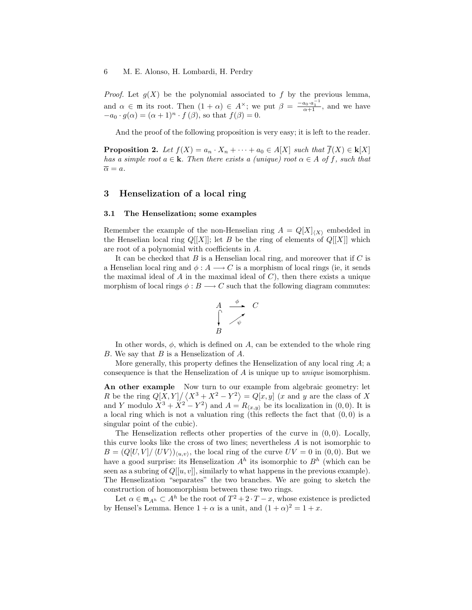*Proof.* Let  $g(X)$  be the polynomial associated to f by the previous lemma, and  $\alpha \in \mathfrak{m}$  its root. Then  $(1 + \alpha) \in A^{\times}$ ; we put  $\beta = \frac{-a_0 \cdot a_1^{-1}}{\alpha + 1}$ , and we have  $-a_0 \cdot g(\alpha) = (\alpha + 1)^n \cdot f(\beta)$ , so that  $f(\beta) = 0$ .

And the proof of the following proposition is very easy; it is left to the reader.

**Proposition 2.** Let  $f(X) = a_n \cdot X_n + \cdots + a_0 \in A[X]$  such that  $\overline{f}(X) \in k[X]$ has a simple root  $a \in \mathbf{k}$ . Then there exists a (unique) root  $\alpha \in A$  of f, such that  $\overline{\alpha} = a.$ 

## 3 Henselization of a local ring

#### 3.1 The Henselization; some examples

Remember the example of the non-Henselian ring  $A = Q[X]_{\langle X\rangle}$  embedded in the Henselian local ring  $Q[[X]]$ ; let B be the ring of elements of  $Q[[X]]$  which are root of a polynomial with coefficients in A.

It can be checked that  $B$  is a Henselian local ring, and moreover that if  $C$  is a Henselian local ring and  $\phi: A \longrightarrow C$  is a morphism of local rings (ie, it sends the maximal ideal of A in the maximal ideal of  $C$ ), then there exists a unique morphism of local rings  $\phi : B \longrightarrow C$  such that the following diagram commutes:

$$
\begin{array}{ccc}\nA & \xrightarrow{\phi} & C \\
\downarrow & \nearrow & \\
B\n\end{array}
$$

In other words,  $\phi$ , which is defined on A, can be extended to the whole ring B. We say that B is a Henselization of A.

More generally, this property defines the Henselization of any local ring  $A$ ; a consequence is that the Henselization of A is unique up to unique isomorphism.

An other example Now turn to our example from algebraic geometry: let R be the ring  $Q[X, Y]/\langle X^3 + X^2 - Y^2 \rangle = Q[x, y]$  (x and y are the class of X and Y modulo  $X^3 + X^2 - Y^2$  and  $A = R_{\langle x,y \rangle}$  be its localization in (0,0). It is a local ring which is not a valuation ring (this reflects the fact that  $(0, 0)$  is a singular point of the cubic).

The Henselization reflects other properties of the curve in  $(0, 0)$ . Locally, this curve looks like the cross of two lines; nevertheless A is not isomorphic to  $B = (Q[U, V]/\langle UV \rangle)_{\langle u, v \rangle}$ , the local ring of the curve  $UV = 0$  in  $(0, 0)$ . But we have a good surprise: its Henselization  $A<sup>h</sup>$  its isomorphic to  $B<sup>h</sup>$  (which can be seen as a subring of  $Q[[u, v]]$ , similarly to what happens in the previous example). The Henselization "separates" the two branches. We are going to sketch the construction of homomorphism between these two rings.

Let  $\alpha \in \mathfrak{m}_{A^h} \subset A^h$  be the root of  $T^2 + 2 \cdot T - x$ , whose existence is predicted by Hensel's Lemma. Hence  $1 + \alpha$  is a unit, and  $(1 + \alpha)^2 = 1 + x$ .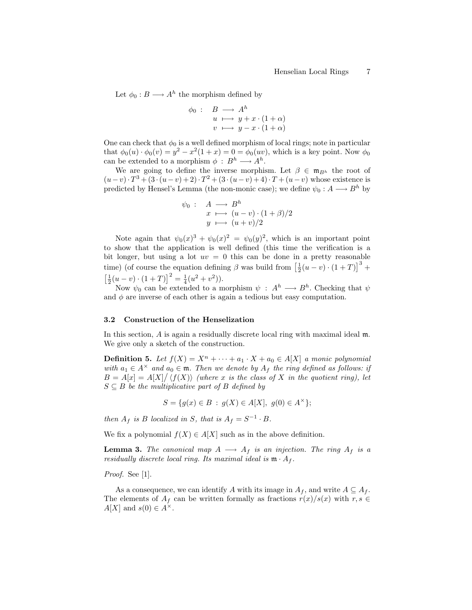Let  $\phi_0: B \longrightarrow A^h$  the morphism defined by

$$
\begin{array}{rcl}\n\phi_0: & B \longrightarrow A^h \\
u & \longmapsto y + x \cdot (1 + \alpha) \\
v & \longmapsto y - x \cdot (1 + \alpha)\n\end{array}
$$

One can check that  $\phi_0$  is a well defined morphism of local rings; note in particular that  $\phi_0(u) \cdot \phi_0(v) = y^2 - x^2(1+x) = 0 = \phi_0(uv)$ , which is a key point. Now  $\phi_0$ can be extended to a morphism  $\phi : B^h \longrightarrow A^h$ .

We are going to define the inverse morphism. Let  $\beta \in \mathfrak{m}_{Bh}$  the root of  $(u-v) \cdot T^3 + (3 \cdot (u-v) + 2) \cdot T^2 + (3 \cdot (u-v) + 4) \cdot T + (u-v)$  whose existence is predicted by Hensel's Lemma (the non-monic case); we define  $\psi_0 : A \longrightarrow B^h$  by

$$
\psi_0: \quad A \longrightarrow B^h
$$
  
\n
$$
x \longmapsto (u-v) \cdot (1+\beta)/2
$$
  
\n
$$
y \longmapsto (u+v)/2
$$

Note again that  $\psi_0(x)^3 + \psi_0(x)^2 = \psi_0(y)^2$ , which is an important point to show that the application is well defined (this time the verification is a bit longer, but using a lot  $uv = 0$  this can be done in a pretty reasonable time) (of course the equation defining  $\beta$  was build from  $\left[\frac{1}{2}(u-v)\cdot(1+T)\right]^3$  +  $\left[\frac{1}{2}(u-v)\cdot(1+T)\right]^2 = \frac{1}{4}(u^2+v^2)).$ 

Now  $\psi_0$  can be extended to a morphism  $\psi : A^h \longrightarrow B^h$ . Checking that  $\psi$ and  $\phi$  are inverse of each other is again a tedious but easy computation.

#### 3.2 Construction of the Henselization

In this section, A is again a residually discrete local ring with maximal ideal  $m$ . We give only a sketch of the construction.

**Definition 5.** Let  $f(X) = X^n + \cdots + a_1 \cdot X + a_0 \in A[X]$  a monic polynomial with  $a_1 \in A^{\times}$  and  $a_0 \in \mathfrak{m}$ . Then we denote by  $A_f$  the ring defined as follows: if  $B = A[x] = A[X]/\langle f(X) \rangle$  (where x is the class of X in the quotient ring), let  $S \subseteq B$  be the multiplicative part of B defined by

$$
S = \{ g(x) \in B \, : \, g(X) \in A[X], \, g(0) \in A^{\times} \};
$$

then  $A_f$  is B localized in S, that is  $A_f = S^{-1} \cdot B$ .

We fix a polynomial  $f(X) \in A[X]$  such as in the above definition.

**Lemma 3.** The canonical map  $A \longrightarrow A_f$  is an injection. The ring  $A_f$  is a residually discrete local ring. Its maximal ideal is  $\mathfrak{m} \cdot A_f$ .

Proof. See [1].

As a consequence, we can identify A with its image in  $A_f$ , and write  $A \subseteq A_f$ . The elements of  $A_f$  can be written formally as fractions  $r(x)/s(x)$  with  $r, s \in$  $A[X]$  and  $s(0) \in A^{\times}$ .